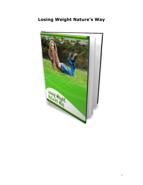## **Losing Weight Nature's Way**

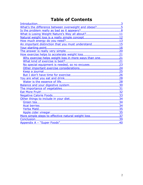## **Table of Contents**

| What's the difference between overweight and obese?5   |  |
|--------------------------------------------------------|--|
|                                                        |  |
| What is Losing Weight Nature's Way all about?11        |  |
| Natural weight loss is a really simple concept12       |  |
|                                                        |  |
| An important distinction that you must understand15    |  |
|                                                        |  |
|                                                        |  |
|                                                        |  |
| Why exercise helps weight loss in more ways than one21 |  |
|                                                        |  |
|                                                        |  |
|                                                        |  |
|                                                        |  |
|                                                        |  |
|                                                        |  |
|                                                        |  |
|                                                        |  |
|                                                        |  |
|                                                        |  |
|                                                        |  |
|                                                        |  |
|                                                        |  |
|                                                        |  |
|                                                        |  |
|                                                        |  |
| More simple steps to effective natural weight loss37   |  |
|                                                        |  |
|                                                        |  |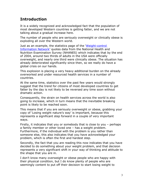## <span id="page-2-0"></span>**Introduction**

It is a widely recognized and acknowledged fact that the population of most developed Western countries is getting fatter, and we are not talking about a gradual increase here.

The number of people who are seriously overweight or clinically obese is exploding all over the Western world.

Just as an example, the statistics page of the ['Weight-control](http://www.win.niddk.nih.gov/statistics/) [Information Network'](http://www.win.niddk.nih.gov/statistics/) quotes data from the National Health and Nutrition Examination Survey (NHANES) which indicates that by the end of 2004, around two thirds of adults in the USA were officially overweight, and nearly one third were clinically obese. The situation has already deteriorated significantly since then, so we really do have a global crisis on our hands.

This explosion is placing a very heavy additional burden on the already overworked and under resourced health services in a number of countries.

At the same time, statistics over the past few years would strongly suggest that the trend for citizens of most developed countries to get fatter by the day is not likely to be reversed any time soon without dramatic action.

Consequently, the strain on health services across the world is also going to increase, which in turn means that the inevitable breaking point is likely to be reached soon.

This means that if you are seriously overweight or obese, grabbing your copy of 'Losing weight nature's way' is important, because this represents a significant step forward in a couple of very important ways.

Firstly, it indicates that you or somebody that is close to you – perhaps a family member or other loved one – has a weight problem. Furthermore, if the individual with the problem is you rather than someone else, this also indicates that you have acknowledged your problem, which is often the first and hardest step.

Secondly, the fact that you are reading this now indicates that you have decided to do something about your weight problem, and that decision represents a very significant shift in your way of thinking and attitude to the shape that you are in.

I don't know many overweight or obese people who are happy with their physical condition, but I do know plenty of people who are seemingly content to put off their decision to start losing weight to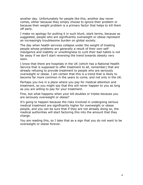another day. Unfortunately for people like this, another day never comes, either because they simply choose to ignore their problem or because their weight problem is a primary factor that helps to kill them off early.

I make no apology for putting it in such blunt, stark terms, because as suggested, people who are significantly overweight or obese represent an increasingly troublesome burden on global society.

The day when health services collapse under the weight of treating people whose problems are generally a result of their own selfindulgence and inability or unwillingness to curb their bad habits is not far away if we don't start reversing the trend towards obesity very soon.

I know that there are hospitals in the UK (which has a National Health Service that is supposed to offer treatment to all, remember) that are already refusing to provide treatment to people who are seriously overweight or obese. I am certain that this is a trend that is likely to become far more common in the years to come, and not only in the UK.

Perhaps you live in a place where you pay for medical attention and treatment, so you might say that this will never happen to you as long as you are willing to pay for your treatment.

Fine, but what happens when your bill doubles or triples because you are seriously overweight or obese?

It's going to happen because the risks involved in undergoing serious medical treatment are significantly higher for overweight or obese people, and you can be sure that if they are not already doing so, the medical authorities will start factoring this into the amount that they charge.

You are reading this, so I take that as a sign that you do not want to be overweight or obese forever.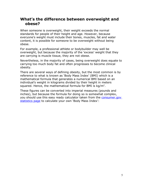#### <span id="page-4-0"></span>**What's the difference between overweight and obese?**

When someone is overweight, their weight exceeds the normal standards for people of their height and age. However, because everyone's weight must include their bones, muscles, fat and water content, it is possible for someone to be overweight without being obese.

For example, a professional athlete or bodybuilder may well be overweight, but because the majority of the 'excess' weight that they are carrying is muscle tissue, they are not obese.

Nevertheless, in the majority of cases, being overweight does equate to carrying too much body fat and often progresses to become clinical obesity.

There are several ways of defining obesity, but the most common is by reference to what is known as 'Body Mass Index' (BMI) which is a mathematical formula that generates a numerical BMI based on an individual's weight in kilograms divided by their height in meters squared. Hence, the mathematical formula for BMI is  $kg/m<sup>2</sup>$ .

These figures can be converted into imperial measures (pounds and inches), but because the formula for doing so is somewhat complex, you should use this easy ready calculator taken from the [consumer.gov](http://www.consumer.gov/weightloss/bmi.htm) [statistics page](http://www.consumer.gov/weightloss/bmi.htm) to calculate your own 'Body Mass Index':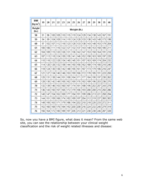| BMI<br>(kg/m <sup>2</sup> ) | 19  | 20           | 21  | 22  | 23  | 24  | 25  | 26  | 27  | 28  | 29  | 30  | 35  | 40  |
|-----------------------------|-----|--------------|-----|-----|-----|-----|-----|-----|-----|-----|-----|-----|-----|-----|
| Height<br>(in.)             |     | Weight (lb.) |     |     |     |     |     |     |     |     |     |     |     |     |
| 58                          | 91  | 96           | 100 | 105 | 110 | 115 | 119 | 124 | 129 | 134 | 138 | 143 | 167 | 191 |
| 59                          | 94  | 99           | 104 | 109 | 114 | 119 | 124 | 128 | 133 | 138 | 143 | 148 | 173 | 198 |
| 60                          | 97  | 102          | 107 | 112 | 118 | 123 | 128 | 133 | 138 | 143 | 148 | 153 | 179 | 204 |
| 61                          | 100 | 106          | 111 | 116 | 122 | 127 | 132 | 137 | 143 | 148 | 153 | 158 | 185 | 211 |
| 62                          | 104 | 109          | 115 | 120 | 126 | 131 | 136 | 142 | 147 | 153 | 158 | 164 | 191 | 218 |
| 63                          | 107 | 113          | 118 | 124 | 130 | 135 | 141 | 146 | 152 | 158 | 163 | 169 | 197 | 225 |
| 64                          | 110 | 116          | 122 | 128 | 134 | 140 | 145 | 151 | 157 | 163 | 169 | 174 | 204 | 232 |
| 65                          | 114 | 120          | 126 | 132 | 138 | 144 | 150 | 156 | 162 | 168 | 174 | 180 | 210 | 240 |
| 66                          | 118 | 124          | 130 | 136 | 142 | 148 | 155 | 161 | 167 | 173 | 179 | 186 | 216 | 247 |
| 67                          | 121 | 127          | 134 | 140 | 146 | 153 | 159 | 166 | 172 | 178 | 185 | 191 | 223 | 255 |
| 68                          | 125 | 131          | 138 | 144 | 151 | 158 | 164 | 171 | 177 | 184 | 190 | 197 | 230 | 262 |
| 69                          | 128 | 135          | 142 | 149 | 155 | 162 | 169 | 176 | 182 | 189 | 196 | 203 | 236 | 270 |
| 70                          | 132 | 139          | 146 | 153 | 160 | 167 | 174 | 181 | 188 | 195 | 202 | 207 | 243 | 278 |
| 71                          | 136 | 143          | 150 | 157 | 165 | 172 | 179 | 186 | 193 | 200 | 208 | 215 | 250 | 286 |
| 72                          | 140 | 147          | 154 | 162 | 169 | 177 | 184 | 191 | 199 | 206 | 213 | 221 | 258 | 294 |
| 73                          | 144 | 151          | 159 | 166 | 174 | 182 | 189 | 197 | 204 | 212 | 219 | 227 | 265 | 302 |
| 74                          | 148 | 155          | 163 | 171 | 179 | 186 | 194 | 202 | 210 | 218 | 225 | 233 | 272 | 311 |
| 75                          | 152 | 160          | 168 | 176 | 184 | 192 | 200 | 208 | 216 | 224 | 232 | 240 | 279 | 319 |
| 76                          | 156 | 164          | 172 | 180 | 189 | 197 | 205 | 213 | 221 | 230 | 238 | 246 | 287 | 328 |

So, now you have a BMI figure, what does it mean? From the same web site, you can see the relationship between your clinical weight classification and the risk of weight related illnesses and disease: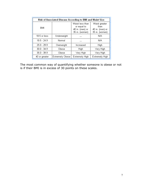| Risk of Associated Disease According to BMI and Waist Size |                 |                                                                     |                                                            |  |  |  |
|------------------------------------------------------------|-----------------|---------------------------------------------------------------------|------------------------------------------------------------|--|--|--|
| BMI                                                        |                 | Waist less than<br>or equal to<br>40 in. (men) or<br>35 in. (women) | Waist greater<br>than<br>40 in. (men) or<br>35 in. (women) |  |  |  |
| 18.5 or less                                               | Underweight     |                                                                     | N/A                                                        |  |  |  |
| $18.5 - 24.9$                                              | Normal          |                                                                     | N/A                                                        |  |  |  |
| $25.0 - 29.9$                                              | Overweight      | Increased                                                           | High                                                       |  |  |  |
| $30.0 - 34.9$                                              | Obese           | High                                                                | Very High                                                  |  |  |  |
| $35.0 - 39.9$                                              | Obese           | Very High                                                           | Very High                                                  |  |  |  |
| 40 or greater                                              | Extremely Obese | Extremely High                                                      | Extremely High                                             |  |  |  |

The most common way of quantifying whether someone is obese or not is if their BMI is in excess of 30 points on these scales.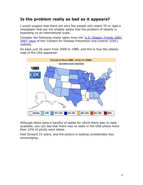## <span id="page-7-0"></span>**Is the problem really as bad as it appears?**

I would suspect that there are very few people who watch TV or read a newspaper that are not already aware that the problem of obesity is exploding on an international scale.

Consider the following charts taken from the ['U.S. Obesity Trends 1985-](http://www.cdc.gov/nccdphp/dnpa/obesity/trend/maps/) [2007' page](http://www.cdc.gov/nccdphp/dnpa/obesity/trend/maps/) of the 'Centers for Disease Prevention and Control' (CDC) website.

Go back just 20 years from 2009 to 1989, and this is how the obesity map of the USA appeared:



Although there were a handful of states for which there was no data available, you can see that there was no state in the USA where more than 14% of adults were obese.

Fast forward 10 years, and the picture is looking considerably less encouraging: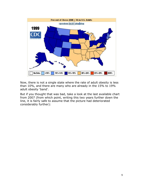

Now, there is not a single state where the rate of adult obesity is less than 10%, and there are many who are already in the 15% to 19% adult obesity 'band'.

But if you thought that was bad, take a look at the last available chart from 2007 (from which point, writing this two years further down the line, it is fairly safe to assume that the picture had deteriorated considerably further):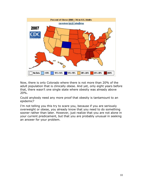

Now, there is only Colorado where there is not more than 20% of the adult population that is clinically obese. And yet, only eight years before that, there wasn't one single state where obesity was already above 20%.

Could anybody need any more proof that obesity is tantamount to an epidemic?

I'm not telling you this try to scare you, because if you are seriously overweight or obese, you already know that you need to do something sooner rather than later. However, just realize that you are not alone in your current predicament, but that you are probably unusual in seeking an answer for your problem.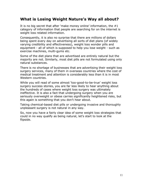#### <span id="page-10-0"></span>**What is Losing Weight Nature's Way all about?**

It is no big secret that after 'make money online' information, the #1 category of information that people are searching for on the internet is weight loss related information.

Consequently, it is also no surprise that there are millions of dollars being spent every day on advertising all sorts of diet plans (of widely varying credibility and effectiveness), weight loss wonder pills and equipment - all of which is supposed to help you lose weight - such as exercise machines, multi-gyms etc.

Some of the diet plans that are advertised are entirely natural but the majority are not. Similarly, most diet pills are not formulated using only natural substances.

There is no shortage of businesses that are advertising their weight loss surgery services, many of them in overseas countries where the cost of medical treatment and attention is considerably less than it is in most Western countries.

While you will read of some almost 'too-good-to-be-true' weight loss surgery success stories, you are far less likely to hear anything about the hundreds of cases where weight loss surgery was ultimately ineffective. It is also a fact that undergoing surgery when you are seriously overweight or obese carries significantly heightened risks, but this again is something that you don't hear about.

Taking chemical-based diet pills or undergoing invasive and thoroughly unpleasant surgery is not natural in any way.

So, now you have a fairly clear idea of some weight loss strategies that could in no way qualify as being natural, let's start to look at the flipside.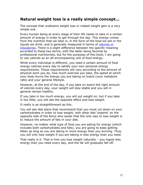#### <span id="page-11-0"></span>**Natural weight loss is a really simple concept…**

The concept that underpins weight loss or indeed weight gain is a very simple one.

Every human being at every stage of their life needs to take in a certain amount of energy in order to get through the day. This energy comes from the nutrition that we take in, in the form of the food we eat or the liquids we drink, and is generally measured in terms of [calories or](http://en.wikipedia.org/wiki/Food_energy) [kilocalories.](http://en.wikipedia.org/wiki/Food_energy) There is a slight difference between the specific meaning accorded to these two terms, with the latter being favored by professional nutritionists, but for the purposes of this book, I am going to use calories as an all-encompassing unit of food energy.

While every individual is different, you need a certain amount of food energy calories every day to satisfy your own personal energy requirements. These requirements will vary according to the amount of physical work you do, how much exercise you take, the speed at which your body burns the energy you are taking on board (your metabolic rate) and your general lifestyle.

However, at the end of the day, if you take on board the right amount of calories every day, your weight will stay stable and you will in general remain healthy.

If you take in too much energy, you will put weight on, but if you take in too little, you will see the opposite effect and lose weight.

It really is as straightforward as this.

You will see diet plans that recommend that you must cut down on your carbohydrates in order to lose weight, with other diet 'experts' on the opposite side of the fence who swear that the only way to lose weight is to reduce the amount of fats in your diet.

However, no matter what type of food you are eating for energy (which includes both carbohydrates and fats), you are going to keep getting fatter as long as you are taking in more energy than you burning. Thus, you will only lose weight if you are taking in less energy than you need.

That really is it. That is how you lose weight naturally – you ingest less energy than you need every day, and the fat will gradually fall off.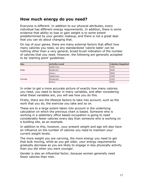## <span id="page-12-0"></span>**How much energy do you need?**

Everyone is different. In addition to our physical attributes, every individual has different energy requirements. In addition, there is some evidence that ability to lose or gain weight is to some extent predetermined by your genetic makeup, and there is not a great deal that you can do about changing that.

On top of your genes, there are many external factors that affect how many calories you need, so any standardized 'calorie table' can be nothing other than a very general, broad brush indication of the number of calories that you need. However, the following are generally accepted to be 'starting point' guidelines:

| Sex    | <b>Activity Level</b> | <b>Calories Required</b> |
|--------|-----------------------|--------------------------|
|        | <b>Sedentary</b>      | 12400                    |
| Male   | <b>Moderate</b>       | 12800                    |
|        | <b>Heavy</b>          | 13800                    |
|        | Sedentary             | 1900                     |
| Female | <b>IModerate</b>      | 2100                     |
|        | <b>Heavy</b>          | 13000                    |

In order to get a more accurate picture of exactly how many calories you need, you need to factor in many variables, and after considering what these variables are, you will see how you do this.

Firstly, there are the lifestyle factors to take into account, such as the work that you do, the exercise you take and so on.

These are to a large extent taken into account in the underlying calculation on which the previous chart is based. Someone who is working in a sedentary office based occupation is going to need considerably fewer calories every day than someone who is working on a building site, as an example.

In addition to this, however, your present weight and age will also have an influence on the number of calories you need to maintain your current weight levels.

The more weight you are carrying, the more energy you need to get that bulk moving, while as you get older, your energy requirements gradually decrease as you are likely to engage in less physically activity than you did when you were younger.

Gender is also an influential factor, because women generally need fewer calories than men.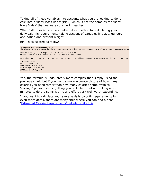Taking all of these variables into account, what you are looking to do is calculate a 'Body Mass Ratio' (BMR) which is not the same as the 'Body Mass Index' that we were considering earlier.

What BMR does is provide an alternative method for calculating your daily calorific requirements taking account of variables like age, gender, occupation and present weight.

BMR is calculated as follows:

```
To Calculate your Calorie Requirements:
The following method uses factors like height, weight, age, and sex to determine basal metabolic rate (BMR), using which we can determine your
```
Men: BMR = 66 + (13.7 X wt in kg) + (5 X ht in cm) - (6.8 X age in years) **Women:** BMR =  $655 + (9.6 \times wt \text{ in kg}) + (1.8 \times ht \text{ in cm}) - (4.7 \times age \text{ in years})$ 

After calculating your BMR, you can estimate your calorie requirements by multiplying your BMR by your activity multiplier from the chart below:

#### **Activity Multiplier** Sedentary =  $BMR \times 1.2$ Light activity = BMR  $\times$  1.375 Moderate activity = BMR  $\times$  1.55 Heavy activity = BMR  $\times$  1.725 Super active = BMR  $\times$  1.9

Yes, the formula is undoubtedly more complex than simply using the previous chart, but if you want a more accurate picture of how many calories you need rather than how many calories some mythical 'average' person needs, getting your calculator out and taking a few minutes to do the sums is time and effort very well worth expending.

If you want to calculate your average daily calorific requirements in even more detail, there are many sites where you can find a neat ['Estimated Calorie Requirements' calculator like this.](http://www.exrx.net/Calculators/CalRequire.html)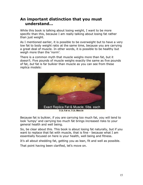## <span id="page-14-0"></span>**An important distinction that you must understand…**

While this book is talking about losing weight, I want to be more specific than this, because I am really talking about losing fat rather than just weight.

As I mentioned earlier, it is possible to be overweight but to have a very low fat to body weight ratio at the same time, because you are carrying a great deal of muscle. In other words, it is possible to be healthy but weigh more than the 'norm'.

There is a common myth that muscle weighs more than fat, but it doesn't. Five pounds of muscle weighs exactly the same as five pounds of fat, *but* fat is far bulkier than muscle as you can see from these replica models:



Because fat is bulkier, if you are carrying too much fat, you will tend to look 'lumpy' and carrying too much fat brings increased risks to your general health and well being.

So, be clear about this. This book is about losing fat naturally, but if you want to replace that fat with muscle, that is fine - because what I am essentially focused on here is your health, well being and fitness.

It's all about shedding fat, getting you as lean, fit and well as possible. That point having been clarified, let's move on.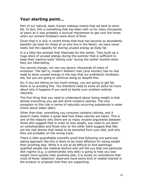## <span id="page-15-0"></span>**Your starting point…**

Part of our natural, basic human makeup means that we tend to store fat. In fact, this is something that has been with us for many thousands of years as it was probably a survival mechanism to get over the times when our ancient forebears were short of food.

Given that it is only in recent times that food has become so abundantly plentiful (at least for those of us who live in the West), we have never really lost the capacity for storing unused energy as body fat.

It is a little like animals that hibernate for the winter. They build up a huge store of unused energy during the summer that is sufficient to keep their inactive body 'ticking over' during the winter months when they are hibernating.

You cannot change, nor can you ignore, thousands of years of evolution. The fact is, modern Western man (and woman) has no real need to store unused energy in the way that our prehistoric forebears did, but you are going to continue doing so despite this.

So, if you are taking on too much energy, you are going to get fat, there is no avoiding this. You therefore need to know an awful lot more about why it happens if you want to tackle your problem entirely naturally.

The first thing that you need to understand about losing weight is that almost everything you eat and drink contains calories. The only exception to this rule in terms of naturally occurring substances is water (more about water later).

Other than that, everything you consume contains calories, and it doesn't really matter a great deal how these calories are taken. This is one of the reasons why there are so many virulent arguments between those who suggest that in order to lose weight, you need to cut down on carbohydrates and those who on the other hand suggest that fats are the real demon that needs to be banished from your diet, and why they are probably on the wrong track.

There is little quantifiable scientific proof that following one particular eating approach like this is likely to be more effective for losing weight than anything else. While it is not at all difficult to find seemingly qualified people like medical doctors who will tell you that one particular diet regime (e.g. a carbohydrate only diet) is going to help you lose weight more quickly than anything else, it is surely no coincidence that most of these 'objective' observers have some kind of vested interest in the product or proposal that they are supporting.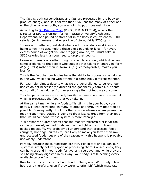The fact is, both carbohydrates and fats are processed by the body to produce energy, and so it follows that if you eat too many of either one or the other or even both, you are going to put more weight on.

According to [Dr. Kristine Clark](http://www.acfn.org/bios/bios-clark/) (Ph.D., R.D. & FACSM), who is the Director of Sports Nutrition for Penn State University's Athletics Department, one pound of stored fat in the body is equivalent to 3500 calories (which means that every kilo of stored fat is 7700 cal.).

It does not matter a great deal what kind of foodstuffs or drinks are being taken in to accumulate these extra pounds or kilos - for every excess pound of weight you are dragging around, you must take in 3500 calories less than you need to drop that pound.

However, there is one other thing to take into account, which does lend some credence to the people who suggest that taking in energy in 'form A' (e.g. fats) rather than in 'form B' (e.g. carbohydrates) makes you less fat.

This is the fact that our bodies have the ability to process some calories in one way while dealing with others in a completely different manner.

For example, almost despite what we are generally led to believe, our bodies do not necessarily extract all the goodness (vitamins, nutrients etc) or all of the calories from every single item of food we consume.

This happens because your body has its own metabolic rate, a speed at which it processes the food that you take in.

At the same time, while any foodstuff is still within your body, your body will keep extracting as many calories of energy from that food as possible. Consequently, it follows that anyone whose system passes the food through very quickly is going to draw less calories from their food than would someone whose system is more lethargic.

It is probably no great secret that the modern Western diet is far too rich in processed, refined foods and far too light on raw, nutrient packed foodstuffs. We probably all understand that processed foods (burgers, hot dogs, pizzas etc) are likely to make you fatter than raw unprocessed foods, but one of the reasons why this happens is probably not widely understood.

Partially because these foodstuffs are very rich in fats and sugar, our system is simply not very good at processing them. Consequently, they can hang around in your body for two or three days, and while they are still being slowly digested in this way, your body is still leeching every available calorie from them.

Raw foodstuffs on the other hand tend to 'hang around' for only a few hours and therefore, even if they were 'calorie rich' (which most raw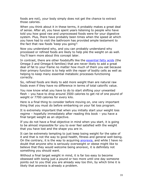foods are not), your body simply does not get the chance to extract those calories.

When you think about it in these terms, it probably makes a great deal of sense. After all, you have spent years listening to people who have told you how good raw and unprocessed foods were for your digestive system. Plus, there have probably been times when the speed at which you have had to visit the bathroom has provided ample testament to the fact that raw foods 'keep you going'!

Now you understand why, and you can probably understand why processed or refined foods are likely to help pile the weight on as well. You'll learn more about this concept later.

In contrast, there are other foodstuffs like the [essential fatty acids](http://en.wikipedia.org/wiki/Essential_fatty_acids) (the Omega-3 and Omega-6 families) that are never likely to add a great deal of fat to your frame no matter how much of them you eat because their primary function is to help with the repair of bodily cells as well as helping to keep many essential metabolic processes functioning correctly.

So, refined foods are likely to add more weight than are natural raw foods even if they have no difference in terms of total calorific value.

You now know what you have to do to start shifting your unwanted flesh – you have to drop around 3500 calories to get rid of one pound of weight or 7700 calories for every kilo.

Here is a final thing to consider before moving on, one very important thing that you must do before embarking on your fat loss program.

It is extremely important that when you initially start your weight loss regime – hopefully immediately after reading this book – you have a final target weight as an objective.

If you do not have a final objective in mind when you start, it is going to be almost impossible for you to ever feel satisfied with the weight that you have lost and the shape you are in.

It can be extremely tempting to just keep losing weight for the sake of it and that is not the way to good health, fitness and general well-being. On the contrary, it is the way to acquiring **anorexia**, and while I have no doubt that anyone who is seriously overweight or obese might like to believe that they would welcome being anorexic, it is definitely not something you should want.

Without a final target weight in mind, it is far too easy to become obsessed with losing just a pound or two more until one day someone points out to you that you are already way too thin, by which time it is likely that anorexia is already a problem.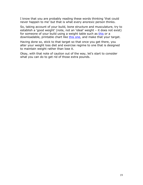I know that you are probably reading these words thinking 'that could never happen to me' but that is what every anorexic person thinks.

So, taking account of your build, bone structure and musculature, try to establish a 'good weight' (note, not an 'ideal' weight – it does not exist) for someone of your build using a weight table such as [this](http://www.healthchecksystems.com/heightweightchart.htm) or a downloadable, printable chart like [this one,](http://www.vertex42.com/ExcelTemplates/ideal-weight-chart.html) and make that your target.

Having done so, stick to that target so that once you get there, you alter your weight loss diet and exercise regime to one that is designed to maintain weight rather than lose it.

Okay, with that note of caution out of the way, let's start to consider what you can do to get rid of those extra pounds.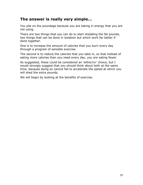## <span id="page-19-0"></span>**The answer is really very simple…**

You pile on the poundage because you are taking in energy that you are not using.

There are two things that you can do to start shedding the fat pounds, two things that can be done in isolation but which work far better if done together.

One is to increase the amount of calories that you burn every day through a program of sensible exercise.

The second is to reduce the calories that you take in, so that instead of eating more calories than you need every day, you are eating fewer.

As suggested, these could be considered an 'either/or' choice, but I would strongly suggest that you should think about both at the same time, because doing so cannot fail to accelerate the speed at which you will shed the extra pounds.

We will begin by looking at the benefits of exercise.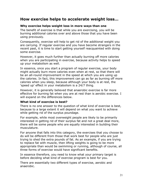#### <span id="page-20-2"></span>**How exercise helps to accelerate weight loss…**

#### <span id="page-20-1"></span>**Why exercise helps weight loss in more ways than one**

The benefit of exercise is that while you are exercising, you will be burning additional calories over and above those that you have been using previously.

Consequently, exercise will help to get rid of the additional weight you are carrying. If regular exercise and you have become strangers in the recent past, it is time to start getting yourself reacquainted with doing some exercise.

However, it goes much further than actually burning off more calories when you are participating in exercise, because activity helps to speed up your metabolism as well.

In essence, once you start a program of regular exercise, your body might actually burn more calories even when at rest, so that there will be an all-round improvement in the speed at which you are using up the calories. In fact, this improvement can go as far as burning off more calories when you sleep, because although your body is at rest, the 'speed up' effect in your metabolism is a 24/7 thing.

However, it is generally believed that anaerobic exercise is far more effective for burning fat when you are at rest than is aerobic exercise. I will expand on the differences below.

#### <span id="page-20-0"></span>**What kind of exercise is best?**

There is no one answer to the question of what kind of exercise is best, because to a large extent it will depend on what you want to achieve while getting rid of the surplus poundage.

For example, while most overweight people are likely to be primarily interested in getting rid of their surplus fat and not a great deal more, there will be some people who are equally interested in building their musculature.

For anyone that falls into this category, the exercises that you choose to do will be different from those that work best for people who are just trying to shed the extra pounds of fat. As an example, if you are trying to replace fat with muscle, then lifting weights is going to be more appropriate than would be swimming or running, although of course, all three forms of exercise would have significant benefits.

In essence therefore, you need to know what your primary target is before deciding what kind of exercise program is best for you.

There are essentially two different types of exercise, aerobic and anaerobic.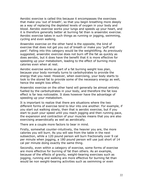Aerobic exercise is called this because it encompasses the exercises that make you 'out of breath', so that you begin breathing more deeply as a way of replacing the depleted levels of oxygen in your body and blood. Aerobic exercise works your lungs and speeds up your heart, and it is therefore generally better at burning fat than is anaerobic exercise. Aerobic exercise takes in such things as running or jogging, swimming, cycling and even walking.

Anaerobic exercise on the other hand is the opposite, the kind of exercise that does not get you out of breath or make you 'puff and pant'. Falling into this category would be the weightlifting. As previously suggested, anaerobic exercise does not burn off the fat as quickly as does aerobic, but it does have the benefit that it is more effective for speeding up your metabolism, leading to the effect of burning more calories even when at rest.

Aerobic exercise works as part of a fat burning weight loss plan, because your body normally turns to carbohydrates to provide the energy that you need. However, when exercising, your body starts to look to the stored fat to provide some of the necessary energy as well, hence the weight loss effect.

Anaerobic exercise on the other hand will generally be almost entirely fuelled by the carbohydrates in your body, and therefore the fat loss effect is far less noticeable. It does however have the advantage of speeding up your metabolism.

It is important to realize that there are situations where the two different forms of exercise tend to blur into one another. For example, if you start out walking slowly, then that is aerobic exercise, but if you start to push your speed until you reach jogging and then running pace, the expansion and contraction of your muscles means that you are also exercising anaerobically as well as aerobically.

There are a couple more factors to bear in mind.

Firstly, somewhat counter-intuitively, the heavier you are, the more calories you will burn. As you will see from the table in the next subsection, while a 120 pound person will burn fractionally over 9 cal per minute when jogging, a 180 pound person will use just short of 14 cal per minute doing exactly the same thing.

Secondly, even within a category of exercise, some forms of exercise are more effective for burning of fat than others. As an example, because of the effects of gravity, weight-bearing exercises such as jogging, running and walking are more effective for burning fat than would be non weight-bearing activities such as swimming or even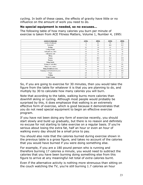cycling. In both of these cases, the effects of gravity have little or no influence on the amount of work you need to do.

#### <span id="page-22-0"></span>**No special equipment is needed, so no excuses…**

The following table of how many calories you burn per minute of exercise is taken from ACE Fitness Matters, Volume 1, Number 4, 1995:

| Activity & Calories/min            | 120 lbs | $140$ lbs | 160 lbs | 180 lbs |
|------------------------------------|---------|-----------|---------|---------|
| <b>Aerobics (Traditional)</b>      | 7.4     | 8.6       | 9.8     | 11.1    |
| Basketball                         | 7.5     | 8.8       | 10.0    | 11.3    |
| Bowling                            | 1.2     | 1.4       | 1.6     | 1.9     |
| Cycling (10 mph)                   | 5.5     | 6.4       | 7.3     | 8.2     |
| Golf (pull/carry clubs)            | 4.6     | 5.4       | 6.2     | 7.0     |
| Golf (power cart)                  | 2.1     | 2.5       | 2.8     | 3.2     |
| Hiking                             | 4.5     | 5.2       | 6.0     | 6.7     |
| Jogging                            | 9.3     | 10.8      | 12.4    | 13.9    |
| Running                            | 11.4    | 13.2      | 15.1    | 17.0    |
| <b>Sitting Quietly</b>             | 1.2     | 1.3       | 1.5     | 1.7     |
| Skating (ice and roller)           | 5.9     | 6.9       | 7.9     | 8.8     |
| Skiing (cross country)             | 7.5     | 8.8       | 10.0    | 11.3    |
| Skiing (downhill and water)        | 5.7     | 6.6       | 7.6     | 8.5     |
| Swimming (crawl and moderate pace) | 7.8     | 9.0       | 10.3    | 11.6    |
| Tennis                             | 6.0     | 6.9       | 7.9     | 8.9     |
| Walking                            | 6.5     | 7.6       | 8.7     | 9.7     |
| <b>Weight Training</b>             | 6.6     | 7.6       | 8.7     | 9.8     |

So, if you are going to exercise for 30 minutes, then you would take the figure from the table for whatever it is that you are planning to do, and multiply by 30 to calculate how many calories you will burn.

Note that according to the table, walking burns more calories than downhill skiing or cycling. Although most people would probably be surprised by this, it does emphasize that walking is an extremely effective form of exercise, which is good because it demonstrates that you do not need special equipment to begin an effective exercise program.

If you have not been doing any form of exercise recently, you should start slowly and build up gradually, but there is no reason and definitely no excuse for not starting to take exercise on a regular basis. If you're serious about losing the extra fat, half an hour or even an hour of walking every day should be a small price to pay.

You should also note that the calories burned during exercise shown in the previous table is a gross figure, and takes no account of the calories that you would have burned if you were doing something else.

For example, if you are a 180 pound person who is running and therefore burning 17 calories a minute, you would need to subtract the calories that you have been burning doing something else from this figure to arrive at any meaningful net total of *extra* calories burnt.

Even if the alternative activity is nothing more strenuous than sitting on the couch watching the TV, you're still burning 1.7 calories an hour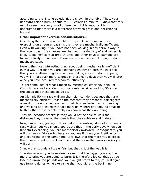according to the 'Sitting quietly' figure shown in the table. Thus, your net extra calorie burn is actually 15.3 calories a minute. I know that this might seem like a very small difference but it is important to understand that there is a difference between gross and net calories burned.

#### <span id="page-23-0"></span>**Other important exercise considerations…**

One thing that is often noticeable with people who have not been exercising on a regular basis, is that they are mechanically inefficient. Even with walking, if you have not been walking in any serious way in the recent past, the chances are that your walking 'style' and pattern is likely to be inefficient at first. Injuries and other physical damage are far more likely to happen in these early days, hence not trying to do too much, too soon.

Here is the most interesting thing about being mechanically inefficient in this way. Because you are expending energy on both the exercise that you are attempting to do *and* on making sure you do it properly, you will in fact burn more calories in these early days than you will later once you have acquired mechanical efficiency.

To get some idea of what I mean by mechanical efficiency, think of Olympic race walkers. Could you seriously consider walking 50 km at the speed that these people go at?

An Olympic 50 km race walking champion can do it because they are mechanically efficient. Despite the fact that they probably look slightly absurd to the untrained eye, with their hips swiveling, arms pumping and walking at a speed that falls marginally short of a jog, it's amazing to think that these people really do know what they are doing.

They do, because otherwise they would not be able to walk the distances they cover at the speeds that they achieve and maintain.

Now, I'm not suggesting that you adopt the walking style of an Olympic race walker, but you should appreciate that in the early days when you first start exercising, you are mechanically awkward. Consequently, you will burn more fat calories because you are fighting your inefficiency and exercising at the same time. It follows that the more you exercise the more efficient you will become and therefore the fewer calories you will burn.

I know that sounds a little unfair, but that is just the way it is.

In a similar way, you have already seen that the bigger you are, the more calories you are going to burn. It is therefore logical that as you lose the unwanted pounds and your weight starts to fall, you will again use fewer calories while exercising than you did at the beginning.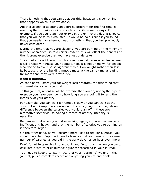There is nothing that you can do about this, because it is something that happens which is unavoidable.

Another aspect of adopting an exercise program for the first time is realizing that it makes a difference to your life in many ways. For example, if you spend an hour or two in the gym every day, it is logical that you will be fairly exhausted. It would be no surprise if you found that you needed an afternoon nap, something that you had previously never considered.

During the time that you are sleeping, you are burning off the minimum number of calories, so to a certain extent, this will offset the benefits of the rigorous exercise that you have just undertaken.

If you put yourself through such a strenuous, vigorous exercise regime, it will probably increase your appetite too. It is not unknown for people who decide to exercise so vigorously to put on weight rather than lose it, because they are building muscle mass at the same time as eating far more than they were previously.

#### <span id="page-24-0"></span>**Keep a journal…**

As soon as you start your fat weight loss program, the first thing that you must do is start a journal.

In this journal, record all of the exercise that you do, noting the type of exercise you have been doing, how long you are doing it for and the intensity of your activity.

For example, you can walk extremely slowly or you can walk at the speed of an Olympic race walker and there is going to be a significant difference between the calories you would burn off in these two alternative scenarios, so having a record of activity intensity is essential.

Remember that when you first exercising again, you are mechanically inefficient and heavy, and that the number of calories you're burning off is therefore larger.

On the other hand, as you become more used to regular exercise, you should be able to 'up' the intensity level so that you burn off the same number of calories as you did in the early days, or perhaps even more.

Don't forget to take this into account, and factor this in when you try to calculate a 'net calories burned' figure for recording in your journal.

You need to keep a constant record of your (declining) weight in this journal, plus a complete record of everything you eat and drink.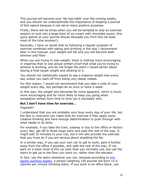This journal will become your 'fat loss bible' over the coming weeks, and you should not underestimate the importance of keeping a journal of this nature because it can serve many positive purposes.

Firstly, there will be times when you will be tempted to skip an exercise session or tuck into a large bowl of ice cream with chocolate sauce. One quick glance at your journal should dissuade you from this (at least most of the time anyway!).

Secondly, I have no doubt that by following a regular program of exercise combined with eating and drinking in the way I recommend later in this manual, your weight will fall and you will become both slimmer and fitter.

When you are trying to lose weight, there is nothing more encouraging or inspiring than to see actual written proof that what you're trying to achieve is working, and do not forget the point I raised earlier about having a final target weight and sticking to it.

You should not realistically expect to see a massive weight loss every day unless you start off from being very obese indeed.

For this reason, I would not recommend that you take a note of your weight every day, but perhaps do so once or twice a week.

In this way, the weight loss becomes far more apparent, which is much more encouraging and far more likely to keep you going when temptation strikes from time to time (as it inevitably will).

#### <span id="page-25-0"></span>**But I don't have time for exercise…**

Hogwash!

I understand that you are probably very busy every day of your life, but the fact is, everyone can make time for exercise if they apply some creative thinking and have enough determination to push through with what needs to be done.

For example, if you take the train, subway or bus to the office or factory every day, get off to three stops early and walk the rest of the way. It might add 10 minutes to your trip, but it will also provide the exercise that you must do if you are serious about shedding the fat.

In a similar way, if you use your own car to get to work, park it further away from the office if possible, and walk the rest of the way. If not, park on a lower level of the car park than you normally use, but use the stairs to get up to the floor you work on, rather than the elevator.

In fact, use the stairs whenever you can, because according to [one](http://www.vertex42.com/ExcelTemplates/ideal-weight-chart.html) [sports nutrition expert,](http://www.vertex42.com/ExcelTemplates/ideal-weight-chart.html) a person weighing 150 pounds will burn 12.5 calories per minute climbing stairs. If you work in an office block, use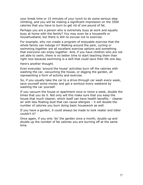your break time or 15 minutes of your lunch to do some serious step climbing, and you will be making a significant impression on the 3500 calories that you have to burn to get rid of one pound of fat.

Perhaps you are a person who is extremely busy at work and equally busy at home with the family? You may even be a housewife or househusband, but there is still no excuse not to exercise.

For example, why not create a program of enjoyable exercise that the whole family can indulge in? Walking around the park, cycling or swimming together are all excellent exercise options and something that everyone can enjoy together. And, if you have children who are not yet able to swim, there is no better time to start teaching them than right now because swimming is a skill that could save their life one day.

Here's another thought.

Even everyday 'around the house' activities burn off the calories with washing the car, vacuuming the house, or digging the garden, all representing a form of activity and exercise.

So, if you usually take the car to a drive-through car wash every week, save yourself some money and get a workout every weekend by washing the car yourself.

If you vacuum the house or apartment once or twice a week, double the times that you do it. Not only will this make sure that you keep the house that much cleaner, which itself can have health benefits – cleaner air with less floating dust that can cause allergies – it will double the number of calories you burn doing basic housework as well.

If you have a garden, it could always be made to look neater and tidier couldn't it?

Once again, if you only 'do' the garden once a month, double up and double up the number of fat calories you are burning off at the same time.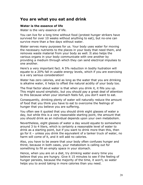#### <span id="page-27-1"></span>**You are what you eat and drink**

#### <span id="page-27-0"></span>**Water is the essence of life**

Water is the very essence of life.

You can live for a long time without food (protest hunger strikers have survived for over 10 weeks without anything to eat), but no-one can survive more than a few days without water.

Water serves many purposes for us. Your body uses water for moving the necessary nutrients to the places in your body that need them, and removes waste material from your body as well. It also helps the various organs in your body communicate with one another by providing a medium through which they can send electrical impulses to one another.

Here's a very important fact. A 5% reduction in bodily hydration will equate to a 20% fall in usable energy levels, which if you are exercising is a very serious consideration!

Water has zero calories, and as long as the water that you are drinking is alkaline water, it helps to offset the natural acidity of your body too.

The final factor about water is that when you drink it, it fills you up. This might sound simplistic, but you should pay a great deal of attention to this because when your stomach feels full, you don't want to eat.

Consequently, drinking plenty of water will naturally reduce the amount of food that you think you have to eat to overcome the feelings of hunger that you believe you are suffering.

You often see it quoted that you should drink eight glasses of water a day, but while this is a very reasonable starting point, the amount that you should drink as an individual depends upon your own metabolism.

Nevertheless, eight glasses of water a day would equate to somewhere around 3 to 4 liters, which is certainly a reasonable level of water to drink as a starting point, but if you want to drink more than this, then go for it – unless you drink the equivalent of a tanker truck of water, no harm will come of it, and it will add no calories.

Also, you have to be aware that your body often confuses hunger and thirst, because in both cases, your metabolism is calling out for something to fill an empty space in your stomach.

Hence, when you are on a diet, try drinking water every time you believe that you are hungry. Give it 15 minutes to see if the feeling of hunger persists, because the majority of the time, it won't, so water helps you to avoid taking in more calories than you need.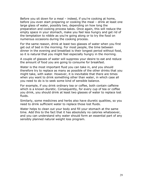Before you sit down for a meal – indeed, if you're cooking at home, before you even start preparing or cooking the meal – drink at least one large glass of water, possibly two, depending on how long the preparation and cooking process takes. Once again, this will reduce the empty space in your stomach, make you feel less hungry and get rid of the temptation to nibble as you're going along or to try the food on numerous occasions during the cooking process.

For the same reason, drink at least two glasses of water when you first get out of bed in the morning. For most people, the time between dinner in the evening and breakfast is their longest period without food, so it is natural that you might feel especially hungry in the morning.

A couple of glasses of water will suppress your desire to eat and reduce the amount of food you are going to consume for breakfast.

Water is the most important fluid you can take in, and you should therefore try to replace as many as possible of the other drinks that you might take, with water. However, it is inevitable that there are times when you want to drink something other than water, in which case all you need to do is to seek some kind of sensible balance.

For example, if you drink ordinary tea or coffee, both contain caffeine which is a known diuretic. Consequently, for every cup of tea or coffee you drink, you should drink at least two glasses of water to replace lost fluids.

Similarly, some medicines and herbs also have diuretic qualities, so you need to drink sufficient water to replace those lost fluids.

Water helps to clean out your body and fill your stomach at the same time. Add this to the fact that it has absolutely no calories whatsoever, and you can understand why water should form an essential part of any sensibly planned natural weight loss program.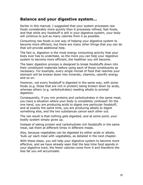#### <span id="page-29-0"></span>**Balance and your digestive system…**

Earlier in this manual, I suggested that your system processes raw foods considerably more quickly than it processes refined, fast foods, and that while any foodstuff is still in your digestive system, your body will continue to pull as many calories from it as possible.

Consuming raw foods is one way of helping your digestive system to become more efficient, but there are many other things that you can do that will provide additional help.

The fact is, digestion is the most energy consuming activity that your body ever has to undertake, so the more you can help your digestive system to become more efficient, the healthier you will become.

The basic digestion process is designed to break foodstuffs down into their constituent materials before using each of those constituents as necessary. For example, every single morsel of food that reaches your stomach will be broken down into minerals, vitamins, calorific energy and so on.

However, not every foodstuff is digested in the same way, with some foods (e.g. those that are rich in protein) being broken down by acids, whereas others (e.g. carbohydrates) needing alkalis to prompt digestion.

Consequently, if you mix proteins and carbohydrates in the same meal, you have a situation where your body is completely confused! On the one hand, you are producing acids to digest one particular foodstuff, and at exactly the same time, you are producing alkalis to digest something else, and the two substances cancel each other out.

The net result is that nothing gets digested, and at some point, your bodily system simply gives up.

Instead of eating protein and carbohydrate rich foodstuffs in the same meal, eat them at different times in different meals.

Also, because vegetables can be digested by either acids or alkalis, 'bulk up' each meal with vegetables, as detailed in the next chapter.

With these steps, you will help your digestive system to become more effective, and we have already seen that the less time food spends in your digestive tract, the fewer calories come from it and therefore the less fat you will accumulate.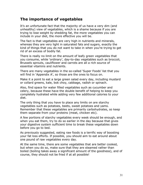#### <span id="page-30-0"></span>**The importance of vegetables**

It's an unfortunate fact that the majority of us have a very dim (and unhealthy) view of vegetables, which is a shame because if you are trying to lose weight by shedding fat, the more vegetables you can include in your diet, the more effective you will be.

The fact is that vegetables are very high in nutrients and minerals, whereas they are very light in saturated fats and sugars, exactly the kind of things that you do not want to take in when you're trying to get rid of an excess of bodily fat.

There is really no limit on the amount of leafy green vegetables that you consume, while 'ordinary', day-to-day vegetables such as broccoli, Brussels sprouts, cauliflower and carrots are all a rich source of essential vitamins and nutrients.

There are many vegetables in the so-called 'Super Foods' list that you will find in 'Appendix A', so those are the ones to focus on.

Make it a point to eat a large green salad every day, including mustard or collard greens, kale, bok choy, cabbage, radish or spinach.

Also, find space for water filled vegetables such as cucumber and celery, because these have the double benefit of helping to keep you completely hydrated while adding very few additional calories to your diet.

The only thing that you have to place any limits on are starchy vegetables such as potatoes, beets, sweet potatoes and yams. Remember that these vegetables are primarily carbohydrates, so keep them separate from your proteins (meat, chicken etc).

A few portions of starchy vegetables every week should be enough, and when you eat them, try to do so earlier in the day because that gives your digestive system sufficient time to break these vegetables down before you go to bed.

As previously suggested, eating raw foods is a terrific way of boosting your fat loss efforts. If possible, you should aim to eat around about one pound of raw vegetables every day.

At the same time, there are some vegetables that are better cooked, but when you do so, make sure that they are steamed rather than boiled (boiling takes away a significant amount of the goodness), and of course, they should not be fried if at all possible!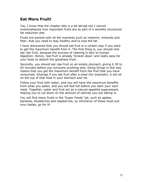## <span id="page-31-0"></span>**Eat More Fruit!**

Yes, I know that the chapter title is a bit abrupt but I cannot overemphasize how important fruits are as part of a sensibly structured fat reduction diet.

Fruits are packed with all the nutrients such as vitamins, minerals and fiber, that you need to stay healthy and to lose the fat.

I have discovered that you should eat fruit in a certain way if you want to get the maximum benefit from it. The first thing is, you should only eat ripe fruit, because the process of ripening is akin to human digestion. Hence, ripe fruit is already 'broken down' and really easy for your body to absorb the goodness from.

Secondly, you should eat ripe fruit on an empty stomach, giving it 30 to 45 minutes before you consume anything else. Doing things in this way means that you get the maximum benefit from the fruit that you have consumed, whereas if you eat fruit after a meal (for example), it will sit on the top of that food in your stomach and rot.

Follow your fruit with water, and you will have the maximum benefits from what you eaten, and you will feel full before you start your next meal. Together, water and fruit act as a natural appetite suppressant, helping you to cut down on the amount of calories you are taking in.

You will find many fruits in the 'Super Foods' list, such as apples, bananas, blueberries and raspberries, so whichever of these most suit your tastes, go for it!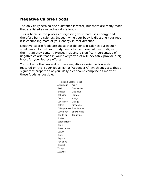## <span id="page-32-0"></span>**Negative Calorie Foods**

The only truly zero calorie substance is water, but there are many foods that are listed as negative calorie foods.

This is because the process of digesting your food uses energy and therefore burns calories. Indeed, while your body is digesting your food, it is channeling most of your energy in that direction.

Negative calorie foods are those that do contain calories but in such small amounts that your body needs to use more calories to digest them than they contain. Hence, including a significant percentage of negative calorie foods in your everyday diet will inevitably provide a big boost for your fat loss efforts.

You will note that several of these negative calorie foods are also featured on the 'Super foods' list at 'Appendix A', which suggests that a significant proportion of your daily diet should comprise as many of these foods as possible:

| Negative Calorie Foods    |
|---------------------------|
| Apple                     |
| Cranberries               |
| Grapefruit                |
| Lemon                     |
| Mango                     |
| Orange                    |
| Pineapple                 |
| Chile peppers Raspberries |
| Strawberries              |
| Tangerine                 |
|                           |
|                           |
|                           |
|                           |
|                           |
|                           |
|                           |
|                           |
|                           |
|                           |
|                           |
|                           |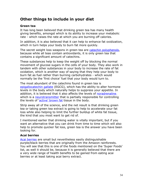## <span id="page-33-2"></span>**Other things to include in your diet**

#### <span id="page-33-1"></span>**Green tea**

It has long been believed that drinking green tea has many health giving benefits, amongst which is its ability to increase your metabolic rate - which raises the rate at which you are burning off calories.

In addition, it is also believed that it can help to enhance fat oxidization, which in turn helps your body to burn fat more quickly.

The secret weight loss weapons in green tea are [catechin polyphenols,](http://en.wikipedia.org/wiki/Catechins) because while all teas contain antioxidants, it is only green tea that contains a significant amount of catechins.

These substances help to keep the weight off by blocking the normal movement of glucose sugars in the cells of your body. They also work in tandem with other substances in your body to increase the rate of fat oxidation, which is another way of saying that they help your body to burn fat as fuel rather than burning carbohydrates - which would normally be the 'first choice' fuel that your body would turn to.

The most abundant of the catechins found in green tea is [epigallocatechin gallate](http://en.wikipedia.org/wiki/Epigallocatechin_gallate) (EGCG), which has the ability to alter hormone levels in the body which naturally helps to suppress your appetite. In addition, it is believed that it also affects the levels of [noradrenaline](http://en.wikipedia.org/wiki/Noradrenaline) which is a [neurotransmitter](http://en.wikipedia.org/wiki/Neurotransmitter) that is partially responsible for controlling the levels of ['active' brown fat](http://en.wikipedia.org/wiki/Brown_fat) tissue in the body.

Strip away all of the science, and the net result is that drinking green tea or taking green tea extract is going to help to accelerate your fat loss while also helping to limit the further buildup of white fat tissue, the kind that you most want to get rid of.

I mentioned earlier that drinking water is vitally important, but if you want an alternative that you can drink from time to time which will also help to promote quicker fat loss, green tea is the answer you have been looking for.

#### <span id="page-33-0"></span>**Acai berries**

[Acai berries](http://en.wikipedia.org/wiki/Acai) are small but nevertheless easily distinguishable purple/black berries that are originally from the Amazon rainforests. You will see that this is one of the foods mentioned on the 'Super Foods' list, as well it should be, because it is generally believed that there are a very wide range of health benefits to be gained from eating acai berries or at least taking acai berry extract.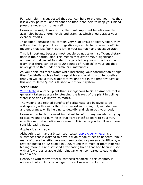For example, it is suggested that acai can help to prolong your life, that it is a very powerful antioxidant and that it can help to keep your blood pressure under control as well.

However, in weight loss terms, the most important benefits are that acai helps boost energy levels and stamina, which should assist your exercise efforts.

In addition, because acai contain very high levels of dietary fiber, they will also help to prompt your digestive system to become more efficient, meaning that less 'junk' gets left in your stomach and digestive tract.

This is important, because most people do not take in sufficient dietary fiber in their normal diet. This means that over time, a significant amount of undigested food detritus gets left in your stomach (some claim that there can be up to 20 pounds of 'rubbish' in your gut that never gets shifted under normal circumstances).

As you drink lots more water while increasing your consumption of high fiber foodstuffs such as fruit, vegetables and acai, it is quite possible that you will see a very significant weight drop in the first few days as this accumulated 'junk' is flushed out of your system.

#### <span id="page-34-1"></span>**Yerba Maté**

[Yerba Maté](http://en.wikipedia.org/wiki/Yerba_mat%C3%A9) is another plant that is indigenous to South America that is generally taken as a tea by steeping the leaves of the plant in boiling water (the drink is known as maté).

The weight loss related benefits of Yerba Maté are believed to be widespread, with claims that it can assist in burning fat, aid stamina and endurance, while helping to detoxify and 'clean out' your body.

However, probably the most important benefit to anyone who is trying to lose weight and burn fat is that Yerba Maté appears to be a very effective natural appetite suppressant. This helps you to follow a more sensible eating pattern.

#### <span id="page-34-0"></span>**Apple cider vinegar**

Although it can have a bitter, sour taste, [apple cider vinegar](http://en.wikipedia.org/wiki/Apple_cider_vinegar) is a substance that is claimed to have a wide range of health benefits. While many of these benefits have not been tested or proven scientifically, a test conducted on 12 people in 2005 found that most of them reported feeling more full and satisfied after eating bread that had been infused with a few drops of apple cider vinegar when compared to eating the bread alone.

Hence, as with many other substances reported in this chapter, it appears that apple cider vinegar may act as a natural appetite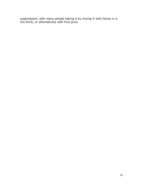suppressant, with many people taking it by mixing it with honey in a hot drink, or alternatively with fruit juice.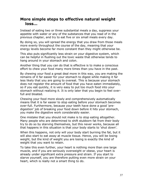## <span id="page-36-0"></span>**More simple steps to effective natural weight loss…**

Instead of eating two or three substantial meals a day, suppress your appetite with water or any of the substances that you read of in the previous chapter, and try to eat five or six small meals every day.

By doing so, you will spread the energy that you draw from those meals more evenly throughout the course of the day, meaning that your energy levels become far more constant than they might otherwise be.

This also puts significantly less strain on your digestive system, which can be helpful in flushing out the toxic waste that otherwise tends to hang around in your stomach and colon.

Another thing that you can do that is effective is to make a conscious effort to chew your food many more times than you have in the past.

By chewing your food a great deal more in this way, you are making the remains of it far easier for your stomach to digest while making it far less likely that you are going to overeat. This is because your stomach does not register the amount of food that you have eaten immediately, so if you eat quickly, it is very easy to put too much food into your stomach without realizing it. It is only later that you begin to feel overfull and bloated.

Chewing your food more slowly and comprehensively automatically means that it is far easier to stop eating before your stomach becomes over-full. Furthermore, because your teeth have done a good 'predigestion' job of breaking your food down before it hits your stomach, you make the digestive work considerably easier.

One mistake that you should not make is to stop eating altogether. Many people who are determined to shift stubborn fat from their body try to do so by starving themselves, but this never works, because all that happens in this situation is that your body starts to 'shut down'.

When this happens, not only will your body start burning the fat, but it will also start to eat away at muscle tissue. Hence, you will be losing weight, but the kind of weight you are losing is exactly the kind of weight that you want to retain.

To take this even further, your heart is nothing more than one large muscle, and if you are seriously overweight or obese, your heart is already under significant extra pressure and strain. If you start to starve yourself, you are therefore putting even more strain on your heart, which is really not a smart thing to do.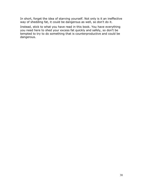In short, forget the idea of starving yourself. Not only is it an ineffective way of shedding fat, it could be dangerous as well, so don't do it.

Instead, stick to what you have read in this book. You have everything you need here to shed your excess fat quickly and safely, so don't be tempted to try to do something that is counterproductive and could be dangerous.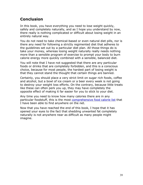## <span id="page-38-0"></span>**Conclusion**

In this book, you have everything you need to lose weight quickly, safely and completely naturally, and as I hope you understand by now, there really is nothing complicated or difficult about losing weight in an entirely natural way.

You do not need to take chemical-based or even natural diet pills, nor is there any need for following a strictly regimented diet that adheres to the guidelines set out by a particular diet plan. All those things do is take your money, whereas losing weight naturally really needs nothing more than a sensible program of exercise to prompt your body to burn calorie energy more quickly combined with a sensible, balanced diet.

You will note that I have not suggested that there are any particular foods or drinks that are completely forbidden, and this is a conscious choice, because for most people, the hardest part of losing weight is that they cannot stand the thought that certain things are banned.

Certainly, you should place a very strict limit on sugar rich foods, coffee and alcohol, but a bowl of ice cream or a beer every week is not going to destroy your weight loss efforts. On the contrary, because little treats like these can often perk you up, they may have completely the opposite effect of making it far easier for you to stick to your diet.

Any time you need to know how many calories there are in any particular foodstuff, this is the most [comprehensive food calorie list](http://www.ntwrks.com/~mikev/chart1.html) that I have been able to find anywhere on the net.

Now that you have reached the end of this book, I hope that it has opened your eyes to the fact that shedding unwanted fat completely naturally is not anywhere near as difficult as many people might imagine.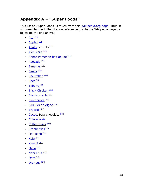## <span id="page-39-0"></span>**Appendix A – "Super Foods"**

This list of 'Super Foods' is taken from this [Wikipedia.org page.](http://en.wikipedia.org/wiki/Superfood) Thus, if you need to check the citation references, go to the Wikipedia page by following the link above:

- $\bullet$  Acaí $^{[9]}$  $^{[9]}$  $^{[9]}$
- [Apples](http://en.wikipedia.org/wiki/Apples)  $[10]$
- [Alfalfa](http://en.wikipedia.org/wiki/Alfalfa) sprouts  $[11]$
- $\bullet$  [Aloe Vera](http://en.wikipedia.org/wiki/Aloe_Vera)  $^{[12]}$  $^{[12]}$  $^{[12]}$
- [Aphanizomenon flos-aquae](http://en.wikipedia.org/wiki/Aphanizomenon_flos-aquae) [\[13\]](http://en.wikipedia.org/wiki/Superfood#cite_note-12)
- $\bullet$  [Avocado](http://en.wikipedia.org/wiki/Avocado)  $^{[14]}$  $^{[14]}$  $^{[14]}$
- $\bullet$  [Bananas](http://en.wikipedia.org/wiki/Bananas)  $^{[15]}$  $^{[15]}$  $^{[15]}$
- $\bullet$  [Beans](http://en.wikipedia.org/wiki/Beans)  $^{[16]}$  $^{[16]}$  $^{[16]}$
- $\bullet$  [Bee Pollen](http://en.wikipedia.org/wiki/Bee_bread)  $[17]$
- $\bullet$  [Beet](http://en.wikipedia.org/wiki/Beet)  $^{[18]}$  $^{[18]}$  $^{[18]}$
- $\bullet$  [Bilberry](http://en.wikipedia.org/wiki/Bilberry)  $^{[19]}$  $^{[19]}$  $^{[19]}$
- [Black Chicken](http://en.wikipedia.org/wiki/Black_Chicken)<sup>[\[20\]](http://en.wikipedia.org/wiki/Superfood#cite_note-19)</sup>
- [Blackcurrants](http://en.wikipedia.org/wiki/Blackcurrants)<sup>[\[21\]](http://en.wikipedia.org/wiki/Superfood#cite_note-20)</sup>
- $\bullet$  [Blueberries](http://en.wikipedia.org/wiki/Blueberries)  $[22]$
- [Blue Green Algae](http://en.wikipedia.org/wiki/Blue_Green_Algae) [\[23\]](http://en.wikipedia.org/wiki/Superfood#cite_note-22)
- $\bullet$  [Broccoli](http://en.wikipedia.org/wiki/Broccoli)<sup>[\[24\]](http://en.wikipedia.org/wiki/Superfood#cite_note-SuperFoods-23)</sup>
- [Cacao,](http://en.wikipedia.org/wiki/Cacao) Raw chocolate  $^{[25]}$  $^{[25]}$  $^{[25]}$
- $\bullet$  [Chlorella](http://en.wikipedia.org/wiki/Chlorella)<sup>[\[26\]](http://en.wikipedia.org/wiki/Superfood#cite_note-25)</sup>
- [Coffee Berry](http://en.wikipedia.org/wiki/Coffee_Berry) [\[27\]](http://en.wikipedia.org/wiki/Superfood#cite_note-26)
- [Cranberries](http://en.wikipedia.org/wiki/Cranberries)<sup>[\[28\]](http://en.wikipedia.org/wiki/Superfood#cite_note-27)</sup>
- $\bullet$  [Flax seed](http://en.wikipedia.org/wiki/Flax_seed)  $^{[29]}$  $^{[29]}$  $^{[29]}$
- $\bullet$  [Kale](http://en.wikipedia.org/wiki/Kale)  $^{[30]}$  $^{[30]}$  $^{[30]}$
- $\bullet$  [Kimchi](http://en.wikipedia.org/wiki/Kimchi)  $^{[31]}$  $^{[31]}$  $^{[31]}$
- [Maca](http://en.wikipedia.org/wiki/Maca)  $^{[32]}$  $^{[32]}$  $^{[32]}$
- [Noni Fruit](http://en.wikipedia.org/wiki/Noni)<sup>[\[33\]](http://en.wikipedia.org/wiki/Superfood#cite_note-32)</sup>
- $\bullet$  [Oats](http://en.wikipedia.org/wiki/Oats)  $^{[16]}$  $^{[16]}$  $^{[16]}$
- $\bullet$  [Oranges](http://en.wikipedia.org/wiki/Oranges)  $^{[34]}$  $^{[34]}$  $^{[34]}$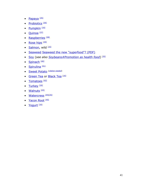- [Papaya](http://en.wikipedia.org/wiki/Papaya)<sup>[\[35\]](http://en.wikipedia.org/wiki/Superfood#cite_note-BBC-1-34)</sup>
- [Probiotics](http://en.wikipedia.org/wiki/Probiotics)<sup>[\[36\]](http://en.wikipedia.org/wiki/Superfood#cite_note-35)</sup>
- $\bullet$  [Pumpkin](http://en.wikipedia.org/wiki/Pumpkin)  $^{[16]}$  $^{[16]}$  $^{[16]}$
- [Quinoa](http://en.wikipedia.org/wiki/Quinoa)<sup>[\[37\]](http://en.wikipedia.org/wiki/Superfood#cite_note-36)</sup>
- [Raspberries](http://en.wikipedia.org/wiki/Raspberries)  $[38]$
- [Rose hips](http://en.wikipedia.org/wiki/Rose_hips)  $[39]$
- $\bullet$  [Salmon,](http://en.wikipedia.org/wiki/Salmon) wild  $^{[16]}$  $^{[16]}$  $^{[16]}$
- [Seaweed](http://en.wikipedia.org/wiki/Seaweed) [Seaweed the new "superfood"? \(PDF\)](http://rds.yahoo.com/_ylt=A0geu_VTc6RJiVoBJDBXNyoA;_ylu=X3oDMTEzdHJnbjBwBHNlYwNzcgRwb3MDMgRjb2xvA2FjMgR2dGlkA0gyMjlfMTI1/SIG=12n1agonh/EXP=1235600595/**http%3A/www.functionalfoodnet.eu/images/site/assets/news/Seaweed.pdf)
- [Soy](http://en.wikipedia.org/wiki/Soy) (*see also [Soybeans#Promotion as health food](http://en.wikipedia.org/wiki/Soybeans#Promotion_as_health_food)*) [\[35\]](http://en.wikipedia.org/wiki/Superfood#cite_note-BBC-1-34)
- $\bullet$  [Spinach](http://en.wikipedia.org/wiki/Spinach)  $[40]$
- [Spirulina](http://en.wikipedia.org/wiki/Spirulina)  $[41]$
- [Sweet Potato](http://en.wikipedia.org/wiki/Sweet_Potato) [*[citation needed](http://en.wikipedia.org/wiki/Wikipedia:Citation_needed)*]
- [Green Tea](http://en.wikipedia.org/wiki/Green_Tea) or [Black Tea](http://en.wikipedia.org/wiki/Black_Tea) [\[16\]](http://en.wikipedia.org/wiki/Superfood#cite_note-webmd.com-15)
- $\bullet$  [Tomatoes](http://en.wikipedia.org/wiki/Tomatoes)  $^{[42]}$  $^{[42]}$  $^{[42]}$
- [Turkey](http://en.wikipedia.org/wiki/Turkey_(bird))  $[16]$
- $\bullet$  [Walnuts](http://en.wikipedia.org/wiki/Walnuts)  $[43]$
- [Watercress](http://en.wikipedia.org/wiki/Watercress)<sup>[\[44\]](http://en.wikipedia.org/wiki/Superfood#cite_note-43)[\[35\]](http://en.wikipedia.org/wiki/Superfood#cite_note-BBC-1-34)</sup>
- [Yacon Root](http://en.wikipedia.org/wiki/Yacon)<sup>[\[45\]](http://en.wikipedia.org/wiki/Superfood#cite_note-44)</sup>
- [Yogurt](http://en.wikipedia.org/wiki/Yogurt) [\[16\]](http://en.wikipedia.org/wiki/Superfood#cite_note-webmd.com-15)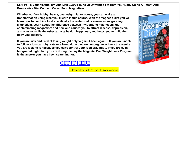**Set Fire To Your Metabolism And Melt Every Pound Of Unwanted Fat from Your Body Using A Potent And Provocative Diet Concept Called Food Magnetism.**

**Whether you're chubby, heavy, overweight, fat or obese, you can make a transformation using what you'll learn in this course. With the Magnetic Diet you will learn how to combine food specifically to create what is known as Invigorating Magnetism. Learn about the difference between invigorating magnetism and contaminating magnetism and how one causes you to attract disease, depression, and obesity, while the other attracts health, happiness, and helps you to build the body you deserve.**

**If you are sick and tired of losing weight only to gain it back again… If you are unable to follow a low-carbohydrate or a low-calorie diet long enough to achieve the results you are looking for because you can't control your food cravings… If you are even hungrier at night than you are during the day the Magnetic Diet Weight Loss Program is the answer you have been searching for.**

## [GET IT HERE](http://80820.magnetdiet.hop.clickbank.net/)

(Please Allow Link To Open In Your Window)